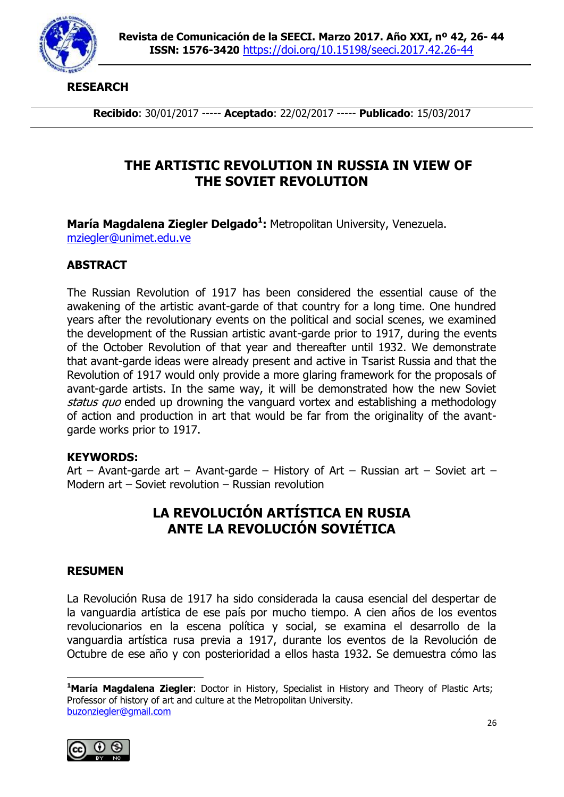

**RESEARCH**

**Recibido**: 30/01/2017 ----- **Aceptado**: 22/02/2017 ----- **Publicado**: 15/03/2017

# **THE ARTISTIC REVOLUTION IN RUSSIA IN VIEW OF THE SOVIET REVOLUTION**

**María Magdalena Ziegler Delgado<sup>1</sup> :** Metropolitan University, Venezuela. [mziegler@unimet.edu.ve](mailto:mziegler@unimet.edu.ve)

## **ABSTRACT**

The Russian Revolution of 1917 has been considered the essential cause of the awakening of the artistic avant-garde of that country for a long time. One hundred years after the revolutionary events on the political and social scenes, we examined the development of the Russian artistic avant-garde prior to 1917, during the events of the October Revolution of that year and thereafter until 1932. We demonstrate that avant-garde ideas were already present and active in Tsarist Russia and that the Revolution of 1917 would only provide a more glaring framework for the proposals of avant-garde artists. In the same way, it will be demonstrated how the new Soviet status quo ended up drowning the vanguard vortex and establishing a methodology of action and production in art that would be far from the originality of the avantgarde works prior to 1917.

### **KEYWORDS:**

Art – Avant-garde art – Avant-garde – History of Art – Russian art – Soviet art – Modern art – Soviet revolution – Russian revolution

# **LA REVOLUCIÓN ARTÍSTICA EN RUSIA ANTE LA REVOLUCIÓN SOVIÉTICA**

### **RESUMEN**

La Revolución Rusa de 1917 ha sido considerada la causa esencial del despertar de la vanguardia artística de ese país por mucho tiempo. A cien años de los eventos revolucionarios en la escena política y social, se examina el desarrollo de la vanguardia artística rusa previa a 1917, durante los eventos de la Revolución de Octubre de ese año y con posterioridad a ellos hasta 1932. Se demuestra cómo las

<sup>-</sup>**<sup>1</sup>María Magdalena Ziegler**: Doctor in History, Specialist in History and Theory of Plastic Arts; Professor of history of art and culture at the Metropolitan University. [buzonziegler@gmail.com](mailto:buzonziegler@gmail.com)

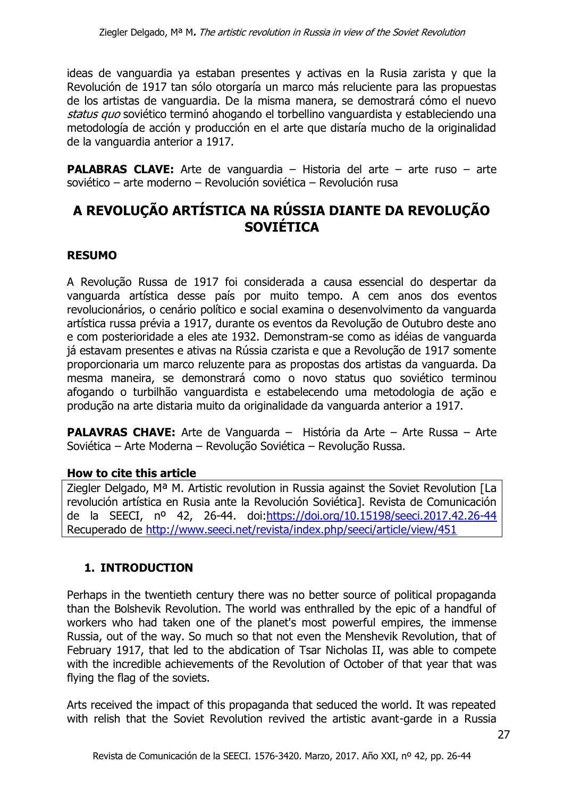ideas de vanguardia ya estaban presentes y activas en la Rusia zarista y que la Revolución de 1917 tan sólo otorgaría un marco más reluciente para las propuestas de los artistas de vanguardia. De la misma manera, se demostrará cómo el nuevo status quo soviético terminó ahogando el torbellino vanguardista y estableciendo una metodología de acción y producción en el arte que distaría mucho de la originalidad de la vanguardia anterior a 1917.

**PALABRAS CLAVE:** Arte de vanguardia – Historia del arte – arte ruso – arte soviético – arte moderno – Revolución soviética – Revolución rusa

# **A REVOLUÇÃO ARTÍSTICA NA RÚSSIA DIANTE DA REVOLUÇÃO SOVIÉTICA**

## **RESUMO**

A Revolução Russa de 1917 foi considerada a causa essencial do despertar da vanguarda artística desse país por muito tempo. A cem anos dos eventos revolucionários, o cenário político e social examina o desenvolvimento da vanguarda artística russa prévia a 1917, durante os eventos da Revolução de Outubro deste ano e com posterioridade a eles ate 1932. Demonstram-se como as idéias de vanguarda já estavam presentes e ativas na Rússia czarista e que a Revolução de 1917 somente proporcionaria um marco reluzente para as propostas dos artistas da vanguarda. Da mesma maneira, se demonstrará como o novo status quo soviético terminou afogando o turbilhão vanguardista e estabelecendo uma metodologia de ação e produção na arte distaria muito da originalidade da vanguarda anterior a 1917.

**PALAVRAS CHAVE:** Arte de Vanguarda – História da Arte – Arte Russa – Arte Soviética – Arte Moderna – Revolução Soviética – Revolução Russa.

### **How to cite this article**

Ziegler Delgado, Mª M. Artistic revolution in Russia against the Soviet Revolution [La revolución artística en Rusia ante la Revolución Soviética]. Revista de Comunicación de la SEECI, nº 42, 26-44. doi[:https://doi.org/10.15198/seeci.2017.42.26-44](https://doi.org/10.15198/seeci.2017.42.26-44) Recuperado de<http://www.seeci.net/revista/index.php/seeci/article/view/451>

## **1. INTRODUCTION**

Perhaps in the twentieth century there was no better source of political propaganda than the Bolshevik Revolution. The world was enthralled by the epic of a handful of workers who had taken one of the planet's most powerful empires, the immense Russia, out of the way. So much so that not even the Menshevik Revolution, that of February 1917, that led to the abdication of Tsar Nicholas II, was able to compete with the incredible achievements of the Revolution of October of that year that was flying the flag of the soviets.

Arts received the impact of this propaganda that seduced the world. It was repeated with relish that the Soviet Revolution revived the artistic avant-garde in a Russia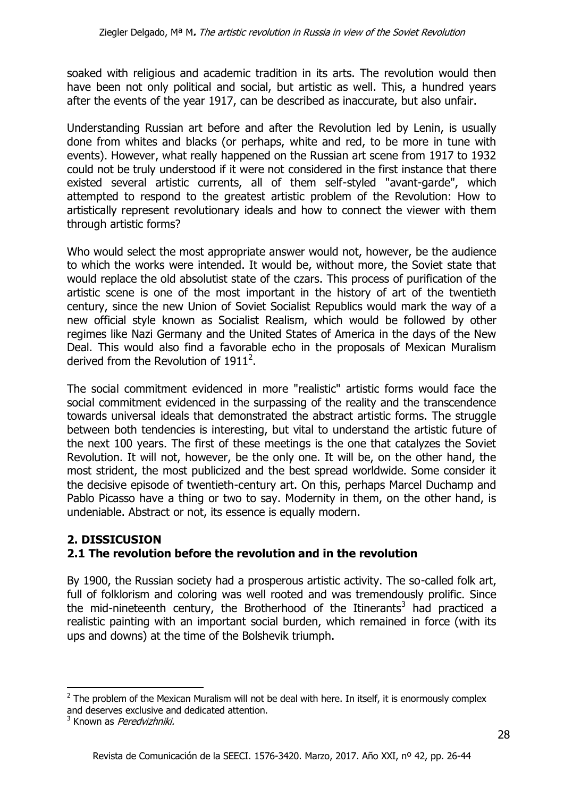soaked with religious and academic tradition in its arts. The revolution would then have been not only political and social, but artistic as well. This, a hundred years after the events of the year 1917, can be described as inaccurate, but also unfair.

Understanding Russian art before and after the Revolution led by Lenin, is usually done from whites and blacks (or perhaps, white and red, to be more in tune with events). However, what really happened on the Russian art scene from 1917 to 1932 could not be truly understood if it were not considered in the first instance that there existed several artistic currents, all of them self-styled "avant-garde", which attempted to respond to the greatest artistic problem of the Revolution: How to artistically represent revolutionary ideals and how to connect the viewer with them through artistic forms?

Who would select the most appropriate answer would not, however, be the audience to which the works were intended. It would be, without more, the Soviet state that would replace the old absolutist state of the czars. This process of purification of the artistic scene is one of the most important in the history of art of the twentieth century, since the new Union of Soviet Socialist Republics would mark the way of a new official style known as Socialist Realism, which would be followed by other regimes like Nazi Germany and the United States of America in the days of the New Deal. This would also find a favorable echo in the proposals of Mexican Muralism derived from the Revolution of 1911<sup>2</sup>.

The social commitment evidenced in more "realistic" artistic forms would face the social commitment evidenced in the surpassing of the reality and the transcendence towards universal ideals that demonstrated the abstract artistic forms. The struggle between both tendencies is interesting, but vital to understand the artistic future of the next 100 years. The first of these meetings is the one that catalyzes the Soviet Revolution. It will not, however, be the only one. It will be, on the other hand, the most strident, the most publicized and the best spread worldwide. Some consider it the decisive episode of twentieth-century art. On this, perhaps Marcel Duchamp and Pablo Picasso have a thing or two to say. Modernity in them, on the other hand, is undeniable. Abstract or not, its essence is equally modern.

## **2. DISSICUSION 2.1 The revolution before the revolution and in the revolution**

By 1900, the Russian society had a prosperous artistic activity. The so-called folk art, full of folklorism and coloring was well rooted and was tremendously prolific. Since the mid-nineteenth century, the Brotherhood of the Itinerants<sup>3</sup> had practiced a realistic painting with an important social burden, which remained in force (with its ups and downs) at the time of the Bolshevik triumph.

**<sup>.</sup>**  $2$  The problem of the Mexican Muralism will not be deal with here. In itself, it is enormously complex and deserves exclusive and dedicated attention.

<sup>&</sup>lt;sup>3</sup> Known as *Peredvizhniki.*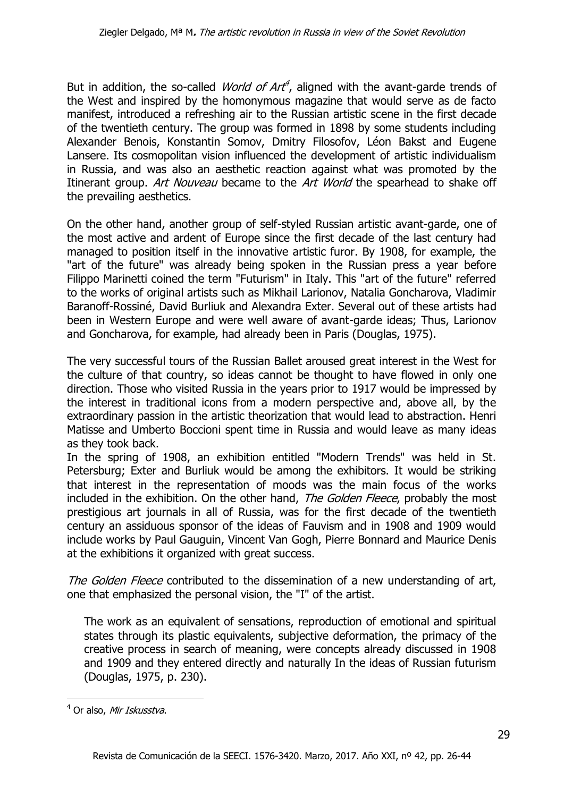But in addition, the so-called *World of Art<sup>4</sup>*, aligned with the avant-garde trends of the West and inspired by the homonymous magazine that would serve as de facto manifest, introduced a refreshing air to the Russian artistic scene in the first decade of the twentieth century. The group was formed in 1898 by some students including Alexander Benois, Konstantin Somov, Dmitry Filosofov, Léon Bakst and Eugene Lansere. Its cosmopolitan vision influenced the development of artistic individualism in Russia, and was also an aesthetic reaction against what was promoted by the Itinerant group. Art Nouveau became to the Art World the spearhead to shake off the prevailing aesthetics.

On the other hand, another group of self-styled Russian artistic avant-garde, one of the most active and ardent of Europe since the first decade of the last century had managed to position itself in the innovative artistic furor. By 1908, for example, the "art of the future" was already being spoken in the Russian press a year before Filippo Marinetti coined the term "Futurism" in Italy. This "art of the future" referred to the works of original artists such as Mikhail Larionov, Natalia Goncharova, Vladimir Baranoff-Rossiné, David Burliuk and Alexandra Exter. Several out of these artists had been in Western Europe and were well aware of avant-garde ideas; Thus, Larionov and Goncharova, for example, had already been in Paris (Douglas, 1975).

The very successful tours of the Russian Ballet aroused great interest in the West for the culture of that country, so ideas cannot be thought to have flowed in only one direction. Those who visited Russia in the years prior to 1917 would be impressed by the interest in traditional icons from a modern perspective and, above all, by the extraordinary passion in the artistic theorization that would lead to abstraction. Henri Matisse and Umberto Boccioni spent time in Russia and would leave as many ideas as they took back.

In the spring of 1908, an exhibition entitled "Modern Trends" was held in St. Petersburg; Exter and Burliuk would be among the exhibitors. It would be striking that interest in the representation of moods was the main focus of the works included in the exhibition. On the other hand, *The Golden Fleece*, probably the most prestigious art journals in all of Russia, was for the first decade of the twentieth century an assiduous sponsor of the ideas of Fauvism and in 1908 and 1909 would include works by Paul Gauguin, Vincent Van Gogh, Pierre Bonnard and Maurice Denis at the exhibitions it organized with great success.

The Golden Fleece contributed to the dissemination of a new understanding of art, one that emphasized the personal vision, the "I" of the artist.

The work as an equivalent of sensations, reproduction of emotional and spiritual states through its plastic equivalents, subjective deformation, the primacy of the creative process in search of meaning, were concepts already discussed in 1908 and 1909 and they entered directly and naturally In the ideas of Russian futurism (Douglas, 1975, p. 230).

**.** 

<sup>&</sup>lt;sup>4</sup> Or also, Mir Iskusstva.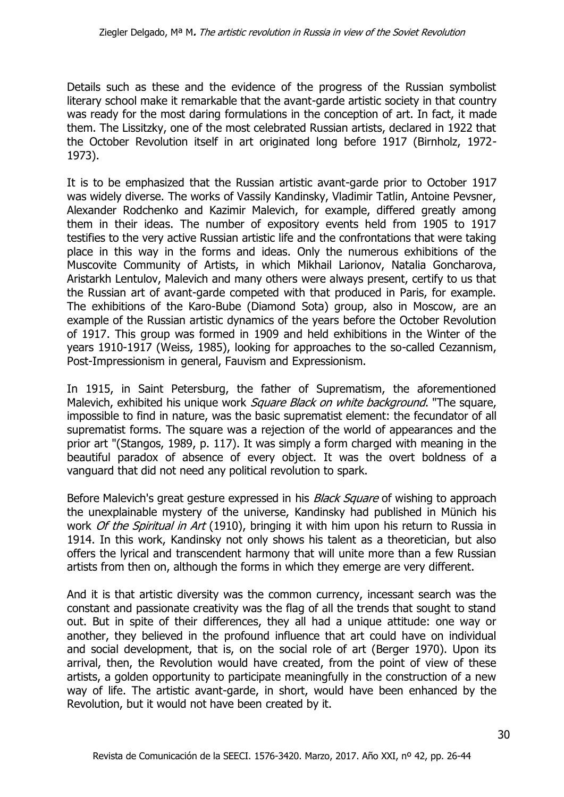Details such as these and the evidence of the progress of the Russian symbolist literary school make it remarkable that the avant-garde artistic society in that country was ready for the most daring formulations in the conception of art. In fact, it made them. The Lissitzky, one of the most celebrated Russian artists, declared in 1922 that the October Revolution itself in art originated long before 1917 (Birnholz, 1972- 1973).

It is to be emphasized that the Russian artistic avant-garde prior to October 1917 was widely diverse. The works of Vassily Kandinsky, Vladimir Tatlin, Antoine Pevsner, Alexander Rodchenko and Kazimir Malevich, for example, differed greatly among them in their ideas. The number of expository events held from 1905 to 1917 testifies to the very active Russian artistic life and the confrontations that were taking place in this way in the forms and ideas. Only the numerous exhibitions of the Muscovite Community of Artists, in which Mikhail Larionov, Natalia Goncharova, Aristarkh Lentulov, Malevich and many others were always present, certify to us that the Russian art of avant-garde competed with that produced in Paris, for example. The exhibitions of the Karo-Bube (Diamond Sota) group, also in Moscow, are an example of the Russian artistic dynamics of the years before the October Revolution of 1917. This group was formed in 1909 and held exhibitions in the Winter of the years 1910-1917 (Weiss, 1985), looking for approaches to the so-called Cezannism, Post-Impressionism in general, Fauvism and Expressionism.

In 1915, in Saint Petersburg, the father of Suprematism, the aforementioned Malevich, exhibited his unique work *Square Black on white background*. "The square, impossible to find in nature, was the basic suprematist element: the fecundator of all suprematist forms. The square was a rejection of the world of appearances and the prior art "(Stangos, 1989, p. 117). It was simply a form charged with meaning in the beautiful paradox of absence of every object. It was the overt boldness of a vanguard that did not need any political revolution to spark.

Before Malevich's great gesture expressed in his *Black Square* of wishing to approach the unexplainable mystery of the universe, Kandinsky had published in Münich his work *Of the Spiritual in Art* (1910), bringing it with him upon his return to Russia in 1914. In this work, Kandinsky not only shows his talent as a theoretician, but also offers the lyrical and transcendent harmony that will unite more than a few Russian artists from then on, although the forms in which they emerge are very different.

And it is that artistic diversity was the common currency, incessant search was the constant and passionate creativity was the flag of all the trends that sought to stand out. But in spite of their differences, they all had a unique attitude: one way or another, they believed in the profound influence that art could have on individual and social development, that is, on the social role of art (Berger 1970). Upon its arrival, then, the Revolution would have created, from the point of view of these artists, a golden opportunity to participate meaningfully in the construction of a new way of life. The artistic avant-garde, in short, would have been enhanced by the Revolution, but it would not have been created by it.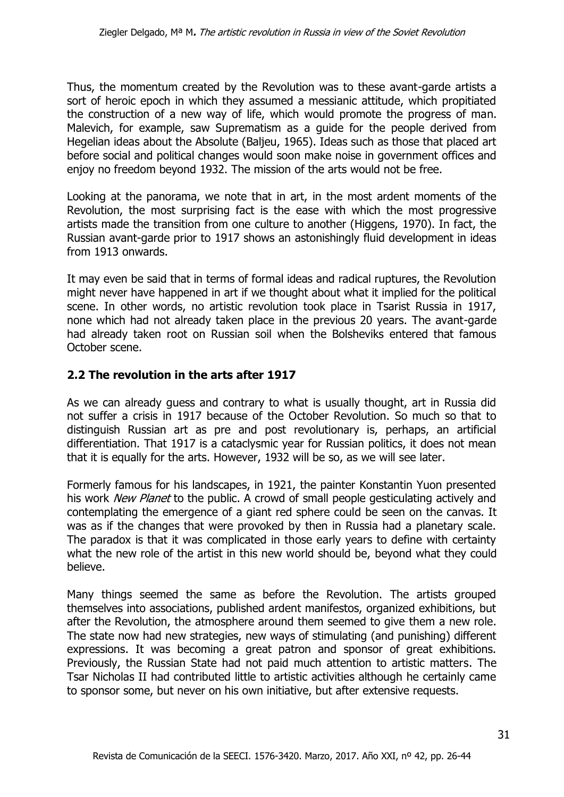Thus, the momentum created by the Revolution was to these avant-garde artists a sort of heroic epoch in which they assumed a messianic attitude, which propitiated the construction of a new way of life, which would promote the progress of man. Malevich, for example, saw Suprematism as a guide for the people derived from Hegelian ideas about the Absolute (Baljeu, 1965). Ideas such as those that placed art before social and political changes would soon make noise in government offices and enjoy no freedom beyond 1932. The mission of the arts would not be free.

Looking at the panorama, we note that in art, in the most ardent moments of the Revolution, the most surprising fact is the ease with which the most progressive artists made the transition from one culture to another (Higgens, 1970). In fact, the Russian avant-garde prior to 1917 shows an astonishingly fluid development in ideas from 1913 onwards.

It may even be said that in terms of formal ideas and radical ruptures, the Revolution might never have happened in art if we thought about what it implied for the political scene. In other words, no artistic revolution took place in Tsarist Russia in 1917, none which had not already taken place in the previous 20 years. The avant-garde had already taken root on Russian soil when the Bolsheviks entered that famous October scene.

#### **2.2 The revolution in the arts after 1917**

As we can already guess and contrary to what is usually thought, art in Russia did not suffer a crisis in 1917 because of the October Revolution. So much so that to distinguish Russian art as pre and post revolutionary is, perhaps, an artificial differentiation. That 1917 is a cataclysmic year for Russian politics, it does not mean that it is equally for the arts. However, 1932 will be so, as we will see later.

Formerly famous for his landscapes, in 1921, the painter Konstantin Yuon presented his work *New Planet* to the public. A crowd of small people gesticulating actively and contemplating the emergence of a giant red sphere could be seen on the canvas. It was as if the changes that were provoked by then in Russia had a planetary scale. The paradox is that it was complicated in those early years to define with certainty what the new role of the artist in this new world should be, beyond what they could believe.

Many things seemed the same as before the Revolution. The artists grouped themselves into associations, published ardent manifestos, organized exhibitions, but after the Revolution, the atmosphere around them seemed to give them a new role. The state now had new strategies, new ways of stimulating (and punishing) different expressions. It was becoming a great patron and sponsor of great exhibitions. Previously, the Russian State had not paid much attention to artistic matters. The Tsar Nicholas II had contributed little to artistic activities although he certainly came to sponsor some, but never on his own initiative, but after extensive requests.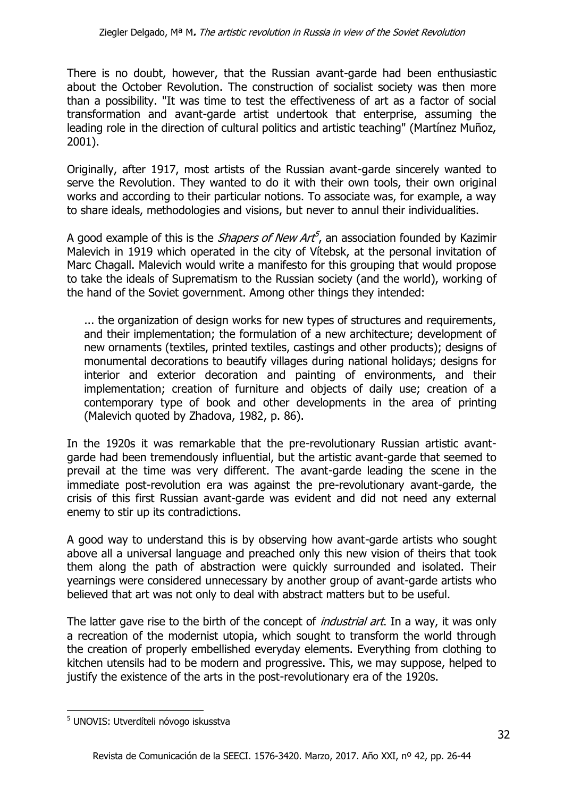There is no doubt, however, that the Russian avant-garde had been enthusiastic about the October Revolution. The construction of socialist society was then more than a possibility. "It was time to test the effectiveness of art as a factor of social transformation and avant-garde artist undertook that enterprise, assuming the leading role in the direction of cultural politics and artistic teaching" (Martínez Muñoz, 2001).

Originally, after 1917, most artists of the Russian avant-garde sincerely wanted to serve the Revolution. They wanted to do it with their own tools, their own original works and according to their particular notions. To associate was, for example, a way to share ideals, methodologies and visions, but never to annul their individualities.

A good example of this is the *Shapers of New Art<sup>5</sup>*, an association founded by Kazimir Malevich in 1919 which operated in the city of Vítebsk, at the personal invitation of Marc Chagall. Malevich would write a manifesto for this grouping that would propose to take the ideals of Suprematism to the Russian society (and the world), working of the hand of the Soviet government. Among other things they intended:

... the organization of design works for new types of structures and requirements, and their implementation; the formulation of a new architecture; development of new ornaments (textiles, printed textiles, castings and other products); designs of monumental decorations to beautify villages during national holidays; designs for interior and exterior decoration and painting of environments, and their implementation; creation of furniture and objects of daily use; creation of a contemporary type of book and other developments in the area of printing (Malevich quoted by Zhadova, 1982, p. 86).

In the 1920s it was remarkable that the pre-revolutionary Russian artistic avantgarde had been tremendously influential, but the artistic avant-garde that seemed to prevail at the time was very different. The avant-garde leading the scene in the immediate post-revolution era was against the pre-revolutionary avant-garde, the crisis of this first Russian avant-garde was evident and did not need any external enemy to stir up its contradictions.

A good way to understand this is by observing how avant-garde artists who sought above all a universal language and preached only this new vision of theirs that took them along the path of abstraction were quickly surrounded and isolated. Their yearnings were considered unnecessary by another group of avant-garde artists who believed that art was not only to deal with abstract matters but to be useful.

The latter gave rise to the birth of the concept of *industrial art*. In a way, it was only a recreation of the modernist utopia, which sought to transform the world through the creation of properly embellished everyday elements. Everything from clothing to kitchen utensils had to be modern and progressive. This, we may suppose, helped to justify the existence of the arts in the post-revolutionary era of the 1920s.

1

<sup>5</sup> UNOVIS: Utverdíteli nóvogo iskusstva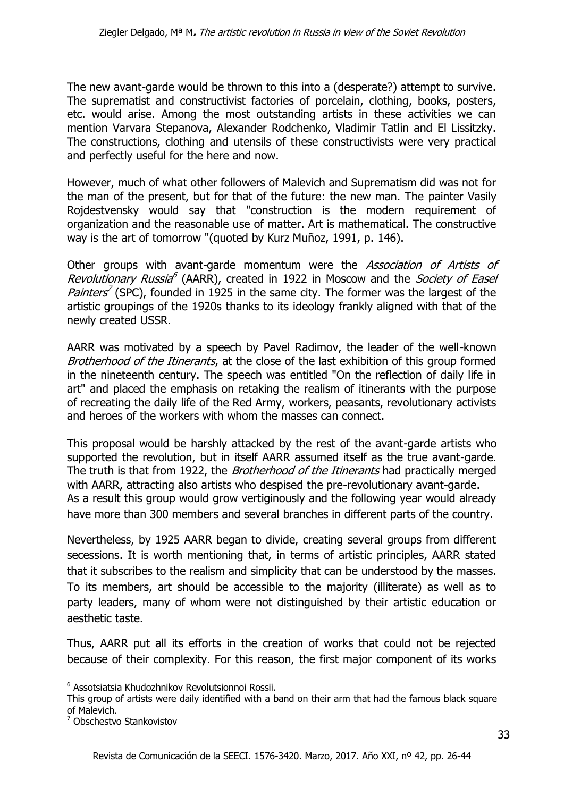The new avant-garde would be thrown to this into a (desperate?) attempt to survive. The suprematist and constructivist factories of porcelain, clothing, books, posters, etc. would arise. Among the most outstanding artists in these activities we can mention Varvara Stepanova, Alexander Rodchenko, Vladimir Tatlin and El Lissitzky. The constructions, clothing and utensils of these constructivists were very practical and perfectly useful for the here and now.

However, much of what other followers of Malevich and Suprematism did was not for the man of the present, but for that of the future: the new man. The painter Vasily Rojdestvensky would say that "construction is the modern requirement of organization and the reasonable use of matter. Art is mathematical. The constructive way is the art of tomorrow "(quoted by Kurz Muñoz, 1991, p. 146).

Other groups with avant-garde momentum were the Association of Artists of Revolutionary Russia<sup>6</sup> (AARR), created in 1922 in Moscow and the *Society of Easel* Painters<sup>7</sup> (SPC), founded in 1925 in the same city. The former was the largest of the artistic groupings of the 1920s thanks to its ideology frankly aligned with that of the newly created USSR.

AARR was motivated by a speech by Pavel Radimov, the leader of the well-known Brotherhood of the Itinerants, at the close of the last exhibition of this group formed in the nineteenth century. The speech was entitled "On the reflection of daily life in art" and placed the emphasis on retaking the realism of itinerants with the purpose of recreating the daily life of the Red Army, workers, peasants, revolutionary activists and heroes of the workers with whom the masses can connect.

This proposal would be harshly attacked by the rest of the avant-garde artists who supported the revolution, but in itself AARR assumed itself as the true avant-garde. The truth is that from 1922, the *Brotherhood of the Itinerants* had practically merged with AARR, attracting also artists who despised the pre-revolutionary avant-garde. As a result this group would grow vertiginously and the following year would already have more than 300 members and several branches in different parts of the country.

Nevertheless, by 1925 AARR began to divide, creating several groups from different secessions. It is worth mentioning that, in terms of artistic principles, AARR stated that it subscribes to the realism and simplicity that can be understood by the masses. To its members, art should be accessible to the majority (illiterate) as well as to party leaders, many of whom were not distinguished by their artistic education or aesthetic taste.

Thus, AARR put all its efforts in the creation of works that could not be rejected because of their complexity. For this reason, the first major component of its works

**.** 

<sup>6</sup> Assotsiatsia Khudozhnikov Revolutsionnoi Rossii.

This group of artists were daily identified with a band on their arm that had the famous black square of Malevich.

<sup>7</sup> Obschestvo Stankovistov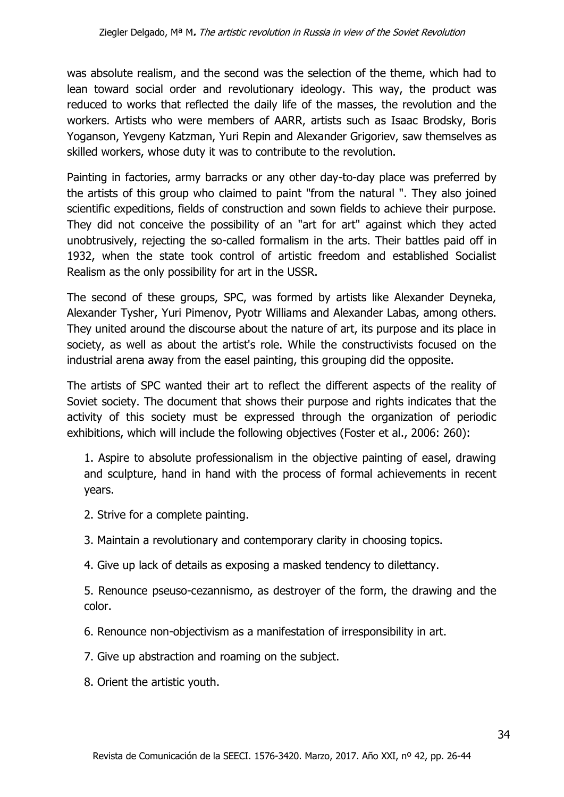was absolute realism, and the second was the selection of the theme, which had to lean toward social order and revolutionary ideology. This way, the product was reduced to works that reflected the daily life of the masses, the revolution and the workers. Artists who were members of AARR, artists such as Isaac Brodsky, Boris Yoganson, Yevgeny Katzman, Yuri Repin and Alexander Grigoriev, saw themselves as skilled workers, whose duty it was to contribute to the revolution.

Painting in factories, army barracks or any other day-to-day place was preferred by the artists of this group who claimed to paint "from the natural ". They also joined scientific expeditions, fields of construction and sown fields to achieve their purpose. They did not conceive the possibility of an "art for art" against which they acted unobtrusively, rejecting the so-called formalism in the arts. Their battles paid off in 1932, when the state took control of artistic freedom and established Socialist Realism as the only possibility for art in the USSR.

The second of these groups, SPC, was formed by artists like Alexander Deyneka, Alexander Tysher, Yuri Pimenov, Pyotr Williams and Alexander Labas, among others. They united around the discourse about the nature of art, its purpose and its place in society, as well as about the artist's role. While the constructivists focused on the industrial arena away from the easel painting, this grouping did the opposite.

The artists of SPC wanted their art to reflect the different aspects of the reality of Soviet society. The document that shows their purpose and rights indicates that the activity of this society must be expressed through the organization of periodic exhibitions, which will include the following objectives (Foster et al., 2006: 260):

1. Aspire to absolute professionalism in the objective painting of easel, drawing and sculpture, hand in hand with the process of formal achievements in recent years.

- 2. Strive for a complete painting.
- 3. Maintain a revolutionary and contemporary clarity in choosing topics.
- 4. Give up lack of details as exposing a masked tendency to dilettancy.

5. Renounce pseuso-cezannismo, as destroyer of the form, the drawing and the color.

- 6. Renounce non-objectivism as a manifestation of irresponsibility in art.
- 7. Give up abstraction and roaming on the subject.
- 8. Orient the artistic youth.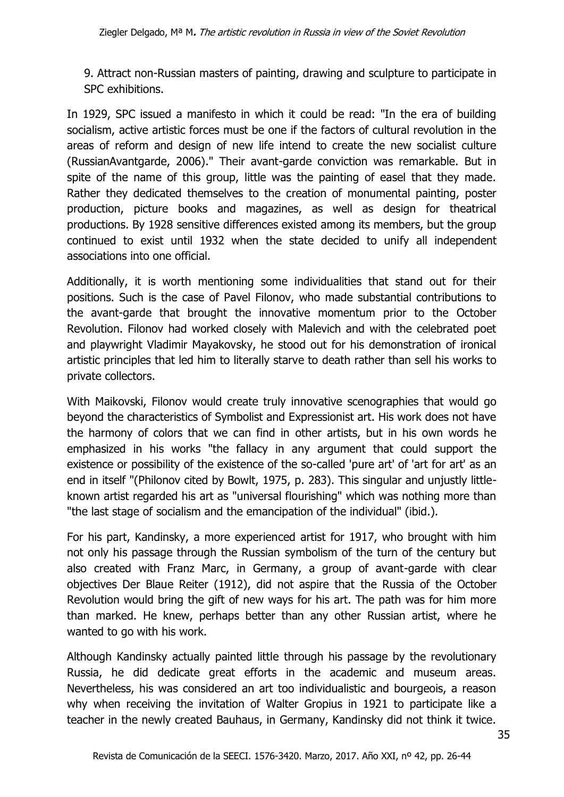9. Attract non-Russian masters of painting, drawing and sculpture to participate in SPC exhibitions.

In 1929, SPC issued a manifesto in which it could be read: "In the era of building socialism, active artistic forces must be one if the factors of cultural revolution in the areas of reform and design of new life intend to create the new socialist culture (RussianAvantgarde, 2006)." Their avant-garde conviction was remarkable. But in spite of the name of this group, little was the painting of easel that they made. Rather they dedicated themselves to the creation of monumental painting, poster production, picture books and magazines, as well as design for theatrical productions. By 1928 sensitive differences existed among its members, but the group continued to exist until 1932 when the state decided to unify all independent associations into one official.

Additionally, it is worth mentioning some individualities that stand out for their positions. Such is the case of Pavel Filonov, who made substantial contributions to the avant-garde that brought the innovative momentum prior to the October Revolution. Filonov had worked closely with Malevich and with the celebrated poet and playwright Vladimir Mayakovsky, he stood out for his demonstration of ironical artistic principles that led him to literally starve to death rather than sell his works to private collectors.

With Maikovski, Filonov would create truly innovative scenographies that would go beyond the characteristics of Symbolist and Expressionist art. His work does not have the harmony of colors that we can find in other artists, but in his own words he emphasized in his works "the fallacy in any argument that could support the existence or possibility of the existence of the so-called 'pure art' of 'art for art' as an end in itself "(Philonov cited by Bowlt, 1975, p. 283). This singular and unjustly littleknown artist regarded his art as "universal flourishing" which was nothing more than "the last stage of socialism and the emancipation of the individual" (ibid.).

For his part, Kandinsky, a more experienced artist for 1917, who brought with him not only his passage through the Russian symbolism of the turn of the century but also created with Franz Marc, in Germany, a group of avant-garde with clear objectives Der Blaue Reiter (1912), did not aspire that the Russia of the October Revolution would bring the gift of new ways for his art. The path was for him more than marked. He knew, perhaps better than any other Russian artist, where he wanted to go with his work.

Although Kandinsky actually painted little through his passage by the revolutionary Russia, he did dedicate great efforts in the academic and museum areas. Nevertheless, his was considered an art too individualistic and bourgeois, a reason why when receiving the invitation of Walter Gropius in 1921 to participate like a teacher in the newly created Bauhaus, in Germany, Kandinsky did not think it twice.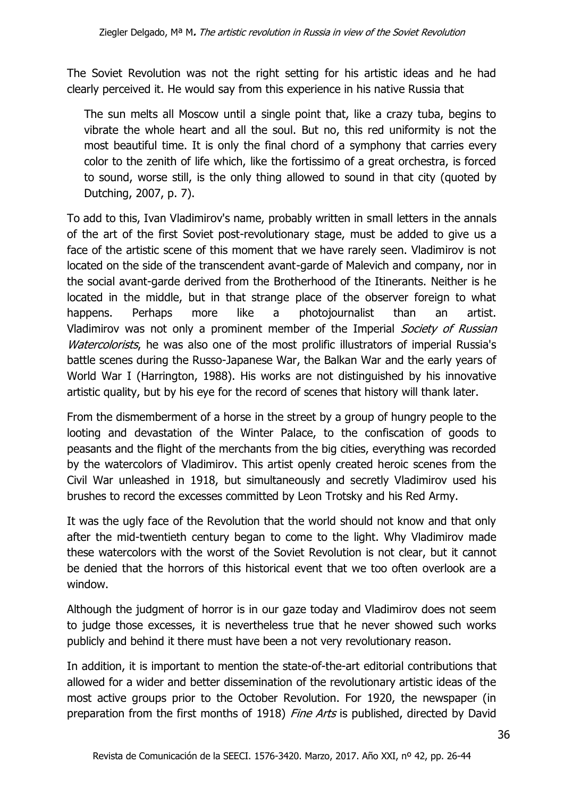The Soviet Revolution was not the right setting for his artistic ideas and he had clearly perceived it. He would say from this experience in his native Russia that

The sun melts all Moscow until a single point that, like a crazy tuba, begins to vibrate the whole heart and all the soul. But no, this red uniformity is not the most beautiful time. It is only the final chord of a symphony that carries every color to the zenith of life which, like the fortissimo of a great orchestra, is forced to sound, worse still, is the only thing allowed to sound in that city (quoted by Dutching, 2007, p. 7).

To add to this, Ivan Vladimirov's name, probably written in small letters in the annals of the art of the first Soviet post-revolutionary stage, must be added to give us a face of the artistic scene of this moment that we have rarely seen. Vladimirov is not located on the side of the transcendent avant-garde of Malevich and company, nor in the social avant-garde derived from the Brotherhood of the Itinerants. Neither is he located in the middle, but in that strange place of the observer foreign to what happens. Perhaps more like a photojournalist than an artist. Vladimirov was not only a prominent member of the Imperial Society of Russian Watercolorists, he was also one of the most prolific illustrators of imperial Russia's battle scenes during the Russo-Japanese War, the Balkan War and the early years of World War I (Harrington, 1988). His works are not distinguished by his innovative artistic quality, but by his eye for the record of scenes that history will thank later.

From the dismemberment of a horse in the street by a group of hungry people to the looting and devastation of the Winter Palace, to the confiscation of goods to peasants and the flight of the merchants from the big cities, everything was recorded by the watercolors of Vladimirov. This artist openly created heroic scenes from the Civil War unleashed in 1918, but simultaneously and secretly Vladimirov used his brushes to record the excesses committed by Leon Trotsky and his Red Army.

It was the ugly face of the Revolution that the world should not know and that only after the mid-twentieth century began to come to the light. Why Vladimirov made these watercolors with the worst of the Soviet Revolution is not clear, but it cannot be denied that the horrors of this historical event that we too often overlook are a window.

Although the judgment of horror is in our gaze today and Vladimirov does not seem to judge those excesses, it is nevertheless true that he never showed such works publicly and behind it there must have been a not very revolutionary reason.

In addition, it is important to mention the state-of-the-art editorial contributions that allowed for a wider and better dissemination of the revolutionary artistic ideas of the most active groups prior to the October Revolution. For 1920, the newspaper (in preparation from the first months of 1918) Fine Arts is published, directed by David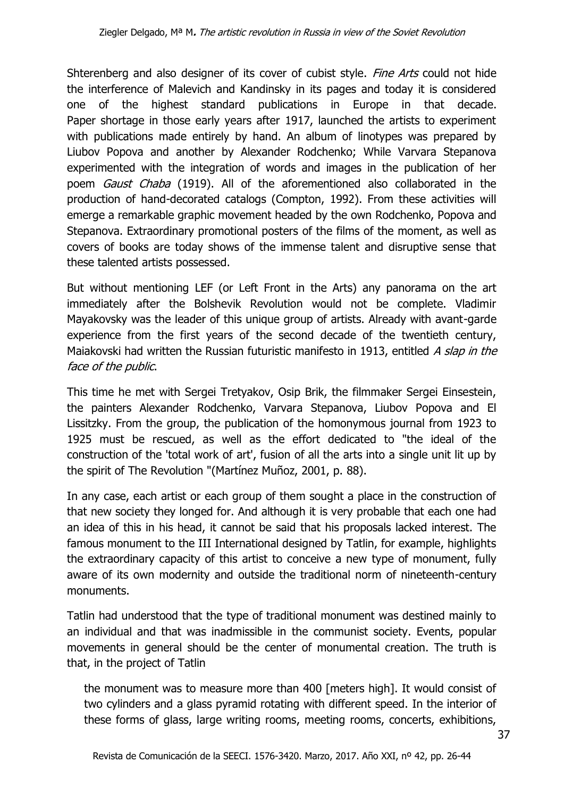Shterenberg and also designer of its cover of cubist style. Fine Arts could not hide the interference of Malevich and Kandinsky in its pages and today it is considered one of the highest standard publications in Europe in that decade. Paper shortage in those early years after 1917, launched the artists to experiment with publications made entirely by hand. An album of linotypes was prepared by Liubov Popova and another by Alexander Rodchenko; While Varvara Stepanova experimented with the integration of words and images in the publication of her poem *Gaust Chaba* (1919). All of the aforementioned also collaborated in the production of hand-decorated catalogs (Compton, 1992). From these activities will emerge a remarkable graphic movement headed by the own Rodchenko, Popova and Stepanova. Extraordinary promotional posters of the films of the moment, as well as covers of books are today shows of the immense talent and disruptive sense that these talented artists possessed.

But without mentioning LEF (or Left Front in the Arts) any panorama on the art immediately after the Bolshevik Revolution would not be complete. Vladimir Mayakovsky was the leader of this unique group of artists. Already with avant-garde experience from the first years of the second decade of the twentieth century, Maiakovski had written the Russian futuristic manifesto in 1913, entitled A slap in the face of the public.

This time he met with Sergei Tretyakov, Osip Brik, the filmmaker Sergei Einsestein, the painters Alexander Rodchenko, Varvara Stepanova, Liubov Popova and El Lissitzky. From the group, the publication of the homonymous journal from 1923 to 1925 must be rescued, as well as the effort dedicated to "the ideal of the construction of the 'total work of art', fusion of all the arts into a single unit lit up by the spirit of The Revolution "(Martínez Muñoz, 2001, p. 88).

In any case, each artist or each group of them sought a place in the construction of that new society they longed for. And although it is very probable that each one had an idea of this in his head, it cannot be said that his proposals lacked interest. The famous monument to the III International designed by Tatlin, for example, highlights the extraordinary capacity of this artist to conceive a new type of monument, fully aware of its own modernity and outside the traditional norm of nineteenth-century monuments.

Tatlin had understood that the type of traditional monument was destined mainly to an individual and that was inadmissible in the communist society. Events, popular movements in general should be the center of monumental creation. The truth is that, in the project of Tatlin

the monument was to measure more than 400 [meters high]. It would consist of two cylinders and a glass pyramid rotating with different speed. In the interior of these forms of glass, large writing rooms, meeting rooms, concerts, exhibitions,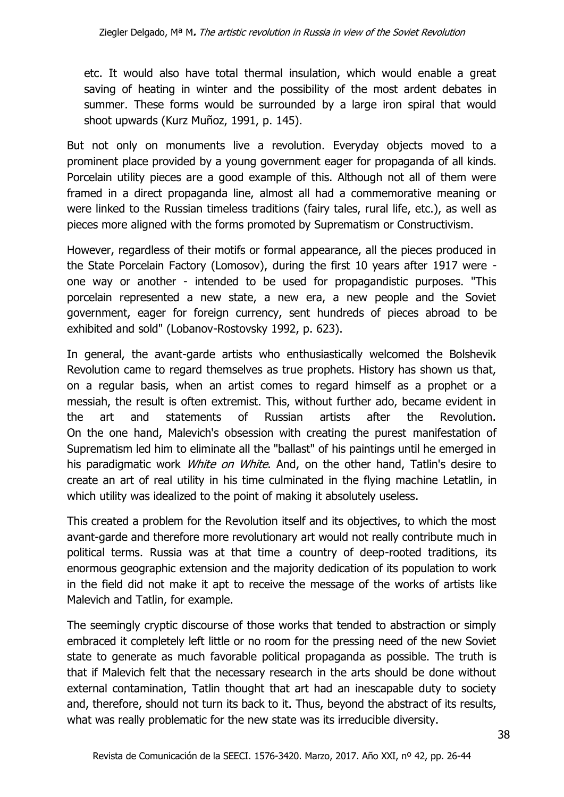etc. It would also have total thermal insulation, which would enable a great saving of heating in winter and the possibility of the most ardent debates in summer. These forms would be surrounded by a large iron spiral that would shoot upwards (Kurz Muñoz, 1991, p. 145).

But not only on monuments live a revolution. Everyday objects moved to a prominent place provided by a young government eager for propaganda of all kinds. Porcelain utility pieces are a good example of this. Although not all of them were framed in a direct propaganda line, almost all had a commemorative meaning or were linked to the Russian timeless traditions (fairy tales, rural life, etc.), as well as pieces more aligned with the forms promoted by Suprematism or Constructivism.

However, regardless of their motifs or formal appearance, all the pieces produced in the State Porcelain Factory (Lomosov), during the first 10 years after 1917 were one way or another - intended to be used for propagandistic purposes. "This porcelain represented a new state, a new era, a new people and the Soviet government, eager for foreign currency, sent hundreds of pieces abroad to be exhibited and sold" (Lobanov-Rostovsky 1992, p. 623).

In general, the avant-garde artists who enthusiastically welcomed the Bolshevik Revolution came to regard themselves as true prophets. History has shown us that, on a regular basis, when an artist comes to regard himself as a prophet or a messiah, the result is often extremist. This, without further ado, became evident in the art and statements of Russian artists after the Revolution. On the one hand, Malevich's obsession with creating the purest manifestation of Suprematism led him to eliminate all the "ballast" of his paintings until he emerged in his paradigmatic work *White on White*. And, on the other hand, Tatlin's desire to create an art of real utility in his time culminated in the flying machine Letatlin, in which utility was idealized to the point of making it absolutely useless.

This created a problem for the Revolution itself and its objectives, to which the most avant-garde and therefore more revolutionary art would not really contribute much in political terms. Russia was at that time a country of deep-rooted traditions, its enormous geographic extension and the majority dedication of its population to work in the field did not make it apt to receive the message of the works of artists like Malevich and Tatlin, for example.

The seemingly cryptic discourse of those works that tended to abstraction or simply embraced it completely left little or no room for the pressing need of the new Soviet state to generate as much favorable political propaganda as possible. The truth is that if Malevich felt that the necessary research in the arts should be done without external contamination, Tatlin thought that art had an inescapable duty to society and, therefore, should not turn its back to it. Thus, beyond the abstract of its results, what was really problematic for the new state was its irreducible diversity.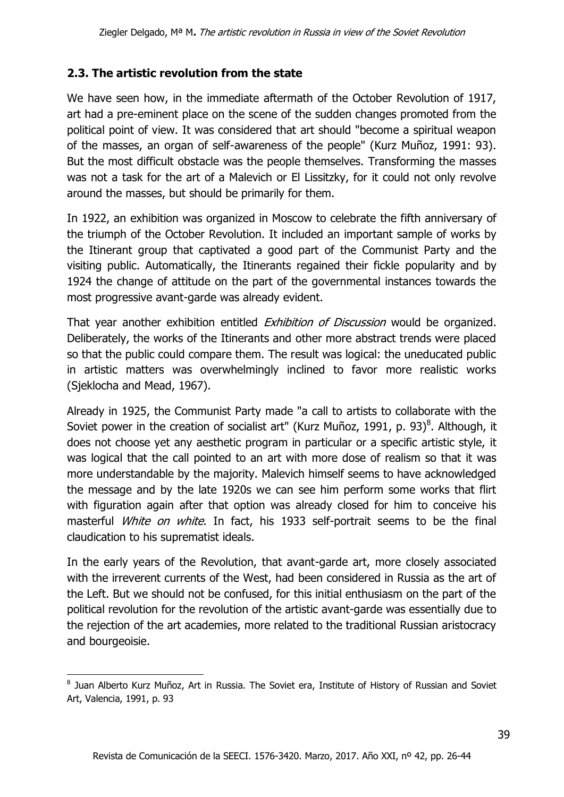### **2.3. The artistic revolution from the state**

We have seen how, in the immediate aftermath of the October Revolution of 1917, art had a pre-eminent place on the scene of the sudden changes promoted from the political point of view. It was considered that art should "become a spiritual weapon of the masses, an organ of self-awareness of the people" (Kurz Muñoz, 1991: 93). But the most difficult obstacle was the people themselves. Transforming the masses was not a task for the art of a Malevich or El Lissitzky, for it could not only revolve around the masses, but should be primarily for them.

In 1922, an exhibition was organized in Moscow to celebrate the fifth anniversary of the triumph of the October Revolution. It included an important sample of works by the Itinerant group that captivated a good part of the Communist Party and the visiting public. Automatically, the Itinerants regained their fickle popularity and by 1924 the change of attitude on the part of the governmental instances towards the most progressive avant-garde was already evident.

That year another exhibition entitled *Exhibition of Discussion* would be organized. Deliberately, the works of the Itinerants and other more abstract trends were placed so that the public could compare them. The result was logical: the uneducated public in artistic matters was overwhelmingly inclined to favor more realistic works (Sjeklocha and Mead, 1967).

Already in 1925, the Communist Party made "a call to artists to collaborate with the Soviet power in the creation of socialist art" (Kurz Muñoz, 1991, p. 93) $^8$ . Although, it does not choose yet any aesthetic program in particular or a specific artistic style, it was logical that the call pointed to an art with more dose of realism so that it was more understandable by the majority. Malevich himself seems to have acknowledged the message and by the late 1920s we can see him perform some works that flirt with figuration again after that option was already closed for him to conceive his masterful *White on white*. In fact, his 1933 self-portrait seems to be the final claudication to his suprematist ideals.

In the early years of the Revolution, that avant-garde art, more closely associated with the irreverent currents of the West, had been considered in Russia as the art of the Left. But we should not be confused, for this initial enthusiasm on the part of the political revolution for the revolution of the artistic avant-garde was essentially due to the rejection of the art academies, more related to the traditional Russian aristocracy and bourgeoisie.

 8 Juan Alberto Kurz Muñoz, Art in Russia. The Soviet era, Institute of History of Russian and Soviet Art, Valencia, 1991, p. 93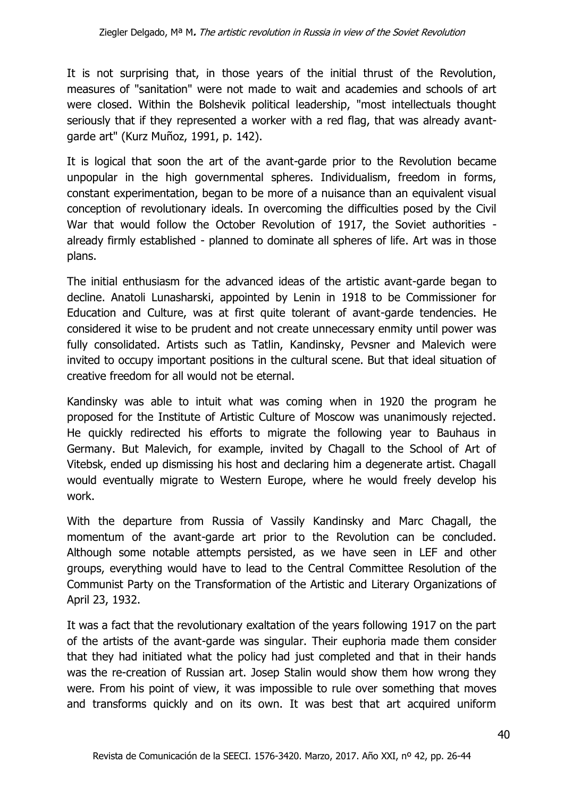It is not surprising that, in those years of the initial thrust of the Revolution, measures of "sanitation" were not made to wait and academies and schools of art were closed. Within the Bolshevik political leadership, "most intellectuals thought seriously that if they represented a worker with a red flag, that was already avantgarde art" (Kurz Muñoz, 1991, p. 142).

It is logical that soon the art of the avant-garde prior to the Revolution became unpopular in the high governmental spheres. Individualism, freedom in forms, constant experimentation, began to be more of a nuisance than an equivalent visual conception of revolutionary ideals. In overcoming the difficulties posed by the Civil War that would follow the October Revolution of 1917, the Soviet authorities already firmly established - planned to dominate all spheres of life. Art was in those plans.

The initial enthusiasm for the advanced ideas of the artistic avant-garde began to decline. Anatoli Lunasharski, appointed by Lenin in 1918 to be Commissioner for Education and Culture, was at first quite tolerant of avant-garde tendencies. He considered it wise to be prudent and not create unnecessary enmity until power was fully consolidated. Artists such as Tatlin, Kandinsky, Pevsner and Malevich were invited to occupy important positions in the cultural scene. But that ideal situation of creative freedom for all would not be eternal.

Kandinsky was able to intuit what was coming when in 1920 the program he proposed for the Institute of Artistic Culture of Moscow was unanimously rejected. He quickly redirected his efforts to migrate the following year to Bauhaus in Germany. But Malevich, for example, invited by Chagall to the School of Art of Vitebsk, ended up dismissing his host and declaring him a degenerate artist. Chagall would eventually migrate to Western Europe, where he would freely develop his work.

With the departure from Russia of Vassily Kandinsky and Marc Chagall, the momentum of the avant-garde art prior to the Revolution can be concluded. Although some notable attempts persisted, as we have seen in LEF and other groups, everything would have to lead to the Central Committee Resolution of the Communist Party on the Transformation of the Artistic and Literary Organizations of April 23, 1932.

It was a fact that the revolutionary exaltation of the years following 1917 on the part of the artists of the avant-garde was singular. Their euphoria made them consider that they had initiated what the policy had just completed and that in their hands was the re-creation of Russian art. Josep Stalin would show them how wrong they were. From his point of view, it was impossible to rule over something that moves and transforms quickly and on its own. It was best that art acquired uniform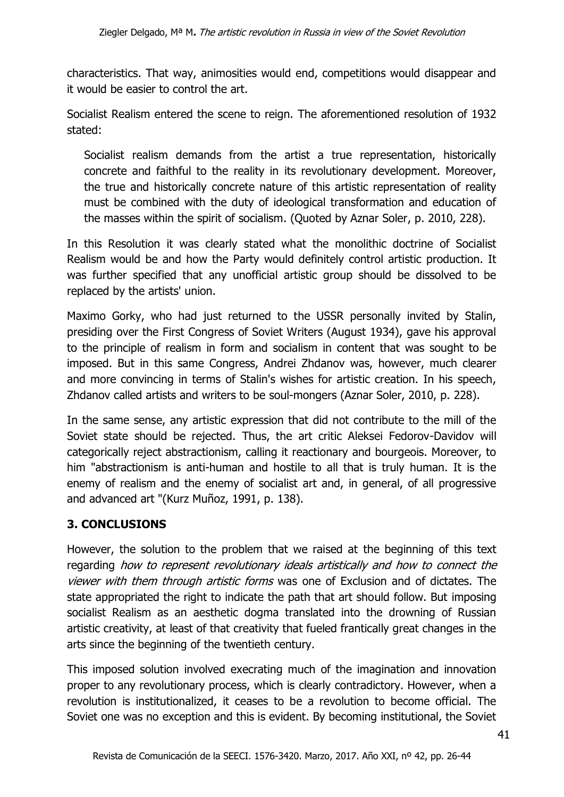characteristics. That way, animosities would end, competitions would disappear and it would be easier to control the art.

Socialist Realism entered the scene to reign. The aforementioned resolution of 1932 stated:

Socialist realism demands from the artist a true representation, historically concrete and faithful to the reality in its revolutionary development. Moreover, the true and historically concrete nature of this artistic representation of reality must be combined with the duty of ideological transformation and education of the masses within the spirit of socialism. (Quoted by Aznar Soler, p. 2010, 228).

In this Resolution it was clearly stated what the monolithic doctrine of Socialist Realism would be and how the Party would definitely control artistic production. It was further specified that any unofficial artistic group should be dissolved to be replaced by the artists' union.

Maximo Gorky, who had just returned to the USSR personally invited by Stalin, presiding over the First Congress of Soviet Writers (August 1934), gave his approval to the principle of realism in form and socialism in content that was sought to be imposed. But in this same Congress, Andrei Zhdanov was, however, much clearer and more convincing in terms of Stalin's wishes for artistic creation. In his speech, Zhdanov called artists and writers to be soul-mongers (Aznar Soler, 2010, p. 228).

In the same sense, any artistic expression that did not contribute to the mill of the Soviet state should be rejected. Thus, the art critic Aleksei Fedorov-Davidov will categorically reject abstractionism, calling it reactionary and bourgeois. Moreover, to him "abstractionism is anti-human and hostile to all that is truly human. It is the enemy of realism and the enemy of socialist art and, in general, of all progressive and advanced art "(Kurz Muñoz, 1991, p. 138).

## **3. CONCLUSIONS**

However, the solution to the problem that we raised at the beginning of this text regarding how to represent revolutionary ideals artistically and how to connect the viewer with them through artistic forms was one of Exclusion and of dictates. The state appropriated the right to indicate the path that art should follow. But imposing socialist Realism as an aesthetic dogma translated into the drowning of Russian artistic creativity, at least of that creativity that fueled frantically great changes in the arts since the beginning of the twentieth century.

This imposed solution involved execrating much of the imagination and innovation proper to any revolutionary process, which is clearly contradictory. However, when a revolution is institutionalized, it ceases to be a revolution to become official. The Soviet one was no exception and this is evident. By becoming institutional, the Soviet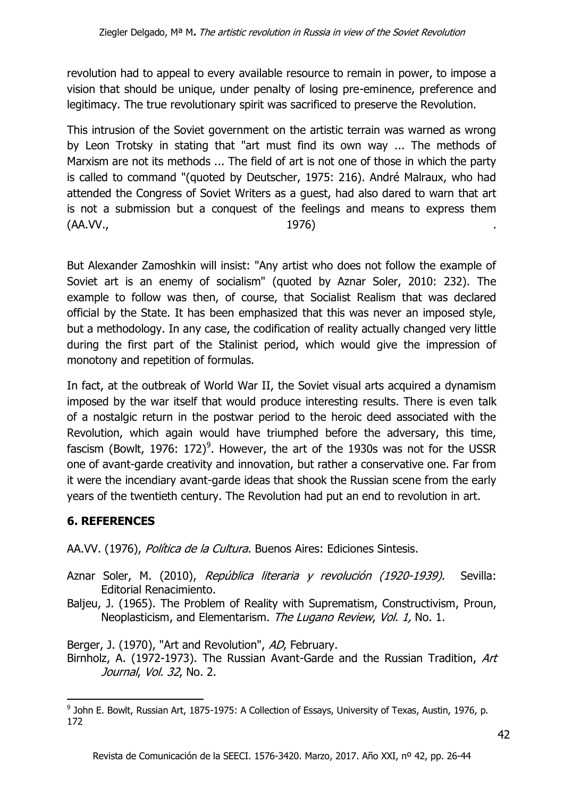revolution had to appeal to every available resource to remain in power, to impose a vision that should be unique, under penalty of losing pre-eminence, preference and legitimacy. The true revolutionary spirit was sacrificed to preserve the Revolution.

This intrusion of the Soviet government on the artistic terrain was warned as wrong by Leon Trotsky in stating that "art must find its own way ... The methods of Marxism are not its methods ... The field of art is not one of those in which the party is called to command "(quoted by Deutscher, 1975: 216). André Malraux, who had attended the Congress of Soviet Writers as a guest, had also dared to warn that art is not a submission but a conquest of the feelings and means to express them (AA.VV., 1976) .

But Alexander Zamoshkin will insist: "Any artist who does not follow the example of Soviet art is an enemy of socialism" (quoted by Aznar Soler, 2010: 232). The example to follow was then, of course, that Socialist Realism that was declared official by the State. It has been emphasized that this was never an imposed style, but a methodology. In any case, the codification of reality actually changed very little during the first part of the Stalinist period, which would give the impression of monotony and repetition of formulas.

In fact, at the outbreak of World War II, the Soviet visual arts acquired a dynamism imposed by the war itself that would produce interesting results. There is even talk of a nostalgic return in the postwar period to the heroic deed associated with the Revolution, which again would have triumphed before the adversary, this time, fascism (Bowlt, 1976: 172) $^9$ . However, the art of the 1930s was not for the USSR one of avant-garde creativity and innovation, but rather a conservative one. Far from it were the incendiary avant-garde ideas that shook the Russian scene from the early years of the twentieth century. The Revolution had put an end to revolution in art.

## **6. REFERENCES**

1

AA.VV. (1976), Política de la Cultura. Buenos Aires: Ediciones Sintesis.

- Aznar Soler, M. (2010), República literaria y revolución (1920-1939). Sevilla: Editorial Renacimiento.
- Baljeu, J. (1965). The Problem of Reality with Suprematism, Constructivism, Proun, Neoplasticism, and Elementarism. The Lugano Review, Vol. 1, No. 1.

Berger, J. (1970), "Art and Revolution", AD, February.

Birnholz, A. (1972-1973). The Russian Avant-Garde and the Russian Tradition, Art Journal, Vol. 32, No. 2.

<sup>&</sup>lt;sup>9</sup> John E. Bowlt, Russian Art, 1875-1975: A Collection of Essays, University of Texas, Austin, 1976, p. 172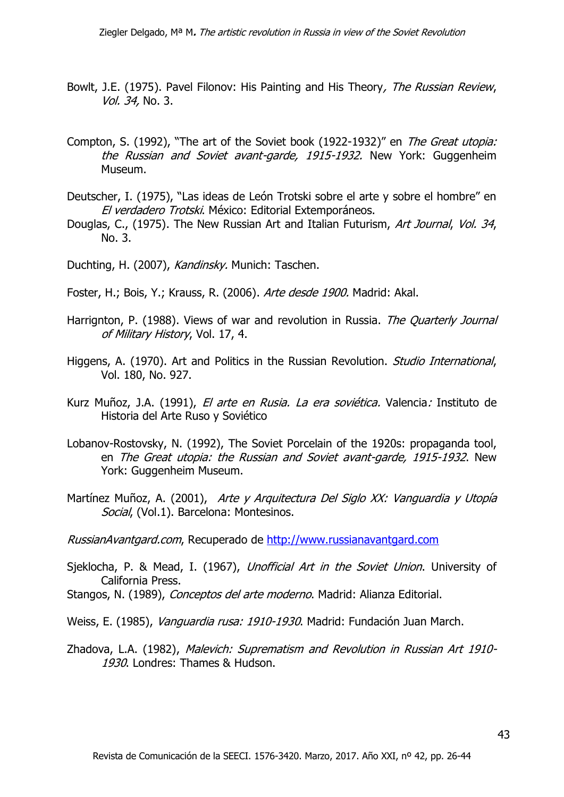- Bowlt, J.E. (1975). Pavel Filonov: His Painting and His Theory, The Russian Review, Vol. 34, No. 3.
- Compton, S. (1992), "The art of the Soviet book (1922-1932)" en The Great utopia: the Russian and Soviet avant-garde, 1915-1932. New York: Guggenheim Museum.
- Deutscher, I. (1975), "Las ideas de León Trotski sobre el arte y sobre el hombre" en El verdadero Trotski. México: Editorial Extemporáneos.
- Douglas, C., (1975). The New Russian Art and Italian Futurism, Art Journal, Vol. 34, No. 3.

Duchting, H. (2007), Kandinsky, Munich: Taschen.

- Foster, H.; Bois, Y.; Krauss, R. (2006). Arte desde 1900. Madrid: Akal.
- Harrignton, P. (1988). Views of war and revolution in Russia. The Quarterly Journal of Military History, Vol. 17, 4.
- Higgens, A. (1970). Art and Politics in the Russian Revolution. *Studio International*, Vol. 180, No. 927.
- Kurz Muñoz, J.A. (1991), El arte en Rusia. La era soviética. Valencia: Instituto de Historia del Arte Ruso y Soviético
- Lobanov-Rostovsky, N. (1992), The Soviet Porcelain of the 1920s: propaganda tool, en The Great utopia: the Russian and Soviet avant-garde, 1915-1932. New York: Guggenheim Museum.
- Martínez Muñoz, A. (2001), Arte y Arquitectura Del Siglo XX: Vanguardia y Utopía Social, (Vol.1). Barcelona: Montesinos.

RussianAvantgard.com, Recuperado de [http://www.russianavantgard.com](http://www.russianavantgard.com/)

- Sjeklocha, P. & Mead, I. (1967), Unofficial Art in the Soviet Union. University of California Press.
- Stangos, N. (1989), Conceptos del arte moderno. Madrid: Alianza Editorial.
- Weiss, E. (1985), Vanguardia rusa: 1910-1930. Madrid: Fundación Juan March.
- Zhadova, L.A. (1982), Malevich: Suprematism and Revolution in Russian Art 1910-1930. Londres: Thames & Hudson.